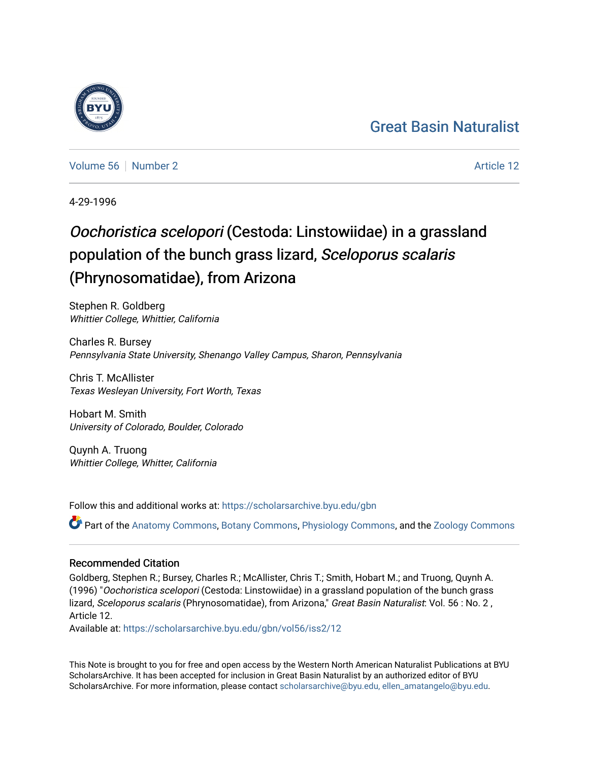#### [Great Basin Naturalist](https://scholarsarchive.byu.edu/gbn)

[Volume 56](https://scholarsarchive.byu.edu/gbn/vol56) [Number 2](https://scholarsarchive.byu.edu/gbn/vol56/iss2) Article 12

4-29-1996

#### Oochoristica scelopori (Cestoda: Linstowiidae) in a grassland population of the bunch grass lizard, Sceloporus scalaris (Phrynosomatidae), from Arizona

Stephen R. Goldberg Whittier College, Whittier, California

Charles R. Bursey Pennsylvania State University, Shenango Valley Campus, Sharon, Pennsylvania

Chris T. McAllister Texas Wesleyan University, Fort Worth, Texas

Hobart M. Smith University of Colorado, Boulder, Colorado

Quynh A. Truong Whittier College, Whitter, California

Follow this and additional works at: [https://scholarsarchive.byu.edu/gbn](https://scholarsarchive.byu.edu/gbn?utm_source=scholarsarchive.byu.edu%2Fgbn%2Fvol56%2Fiss2%2F12&utm_medium=PDF&utm_campaign=PDFCoverPages) 

Part of the [Anatomy Commons,](http://network.bepress.com/hgg/discipline/903?utm_source=scholarsarchive.byu.edu%2Fgbn%2Fvol56%2Fiss2%2F12&utm_medium=PDF&utm_campaign=PDFCoverPages) [Botany Commons,](http://network.bepress.com/hgg/discipline/104?utm_source=scholarsarchive.byu.edu%2Fgbn%2Fvol56%2Fiss2%2F12&utm_medium=PDF&utm_campaign=PDFCoverPages) [Physiology Commons,](http://network.bepress.com/hgg/discipline/69?utm_source=scholarsarchive.byu.edu%2Fgbn%2Fvol56%2Fiss2%2F12&utm_medium=PDF&utm_campaign=PDFCoverPages) and the [Zoology Commons](http://network.bepress.com/hgg/discipline/81?utm_source=scholarsarchive.byu.edu%2Fgbn%2Fvol56%2Fiss2%2F12&utm_medium=PDF&utm_campaign=PDFCoverPages)

#### Recommended Citation

Goldberg, Stephen R.; Bursey, Charles R.; McAllister, Chris T.; Smith, Hobart M.; and Truong, Quynh A. (1996) "Oochoristica scelopori (Cestoda: Linstowiidae) in a grassland population of the bunch grass lizard, Sceloporus scalaris (Phrynosomatidae), from Arizona," Great Basin Naturalist: Vol. 56 : No. 2, Article 12.

Available at: [https://scholarsarchive.byu.edu/gbn/vol56/iss2/12](https://scholarsarchive.byu.edu/gbn/vol56/iss2/12?utm_source=scholarsarchive.byu.edu%2Fgbn%2Fvol56%2Fiss2%2F12&utm_medium=PDF&utm_campaign=PDFCoverPages) 

This Note is brought to you for free and open access by the Western North American Naturalist Publications at BYU ScholarsArchive. It has been accepted for inclusion in Great Basin Naturalist by an authorized editor of BYU ScholarsArchive. For more information, please contact [scholarsarchive@byu.edu, ellen\\_amatangelo@byu.edu.](mailto:scholarsarchive@byu.edu,%20ellen_amatangelo@byu.edu)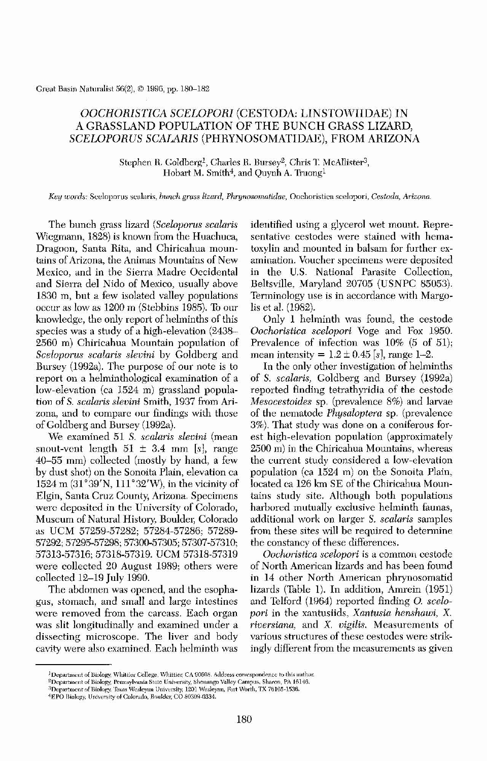Greal Basin Naturalist 56(2), © 1996, pp. 180-182

# *OOCHORISTlCA SCELOPORI* (CESTODA: LINSTOWIIDAE) IN A GRASSLAND POPULATION OF THE BUNCH GRASS LIZARD, *SCELOPORUS SCAJARIS* (PHRYNOSOMATIDAE), FROM ARIZONA

Stephen R. Goldberg<sup>1</sup>, Charles R. Bursey<sup>2</sup>, Chris T. McAllister<sup>3</sup>, Hobart M. Smith $^4$ , and Quynh A. Truong $^1$ 

*Key wor(ls:* Sceloporus scalaris, *hunch grass lizard, Phrynosomatidae,* Oochoristica scelopori, *Cestoda, Arizona.*

The bunch grass lizard *(Sceloporus scalaris*) Wiegmann, 1828) is known from the Huachuca, Dragoon, Santa Rita, and Chiricahua mountains of Arizona, the Animas Mountains of New Mexico, and in the Sierra Madre Occidental and Sierra del Nido of Mexico, usually above 1830 m, but a few isolated valley populations occur as low as 1200 m (Stebbins 1985). To our knowledge, the only report of helminths of this species was a study of a high-elevation (2438- 2.560 m) Chiricahua Mountain population of *5celoporus sealaris slevini* by Goldberg and Bursey (1992a), The purpose of our note is to report on a helminthological examination of a low-elevation (ca 1524 m) grassland population of *S. scalaris slevini* Smith, 1937 from Arizona, and to compare our findings with those of Goldberg and Bursey (1992a). We examined 51 S. *scalaris slevini* (mean snout-vent length  $51 \pm 3.4$  mm [s], range  $40-55$  mm) collected (mostly by hand, a few by dust shot) on the Sonoita Plain, elevation ca  $1524 \text{ m } (31^{\circ}39'N, 111^{\circ}32'W)$ , in the vicinity of Elgin, Santa Cruz County, Arizona. Specimens were deposited in the University of Colorado, Museum of Natural History, Boulder, Colorado as UCM 57259-57282; 57284-57286; 57289-57292; 57295-57298; 57300-57305; 57307-57310; 57313-57316; 57318-57319. UCM 57318-57319 were collected 20 August 1989; others were collected 12-19 July 1990. The abdomen was opened, and the esophagus, stomach, and small and large intestines were removed from the carcass. Each organ was slit longitudinally and examined under a dissecting microscope. The liver and body cavity were also examined. Each helminth was

identified using a glycerol wet mount. Representative cestodes were stained with hematoxylin and mounted in balsam for further examination. Voucher specimens were deposited in the U,S, National Parasite Collection, Beltsville, Maryland 20705 (USNPC 85053). Terminology use is in accordance with Margolis et al. (1982).

Only 1 helminth was fonnd, the cestode *Oochoristica scelopori* Voge and Fox 1950. Prevalence of infection was 10% (5 of 51); mean intensity =  $1.2 \pm 0.45$  [s], range 1-2.

In the only other investigation of helminths of S, *sealaris,* Goldberg and Bursey (1992a) reported finding tetrathyridia of the cestode *Mesocestoides* sp, (prevalence 8%) and larvae of the nematode *Physaloptera* sp. (prevalence 3%). That study was done on a coniferous forest high-elevation population (approximately 2500 m) in the Chiricahua Mountains, \vhereas the current study considered a low-elevation population (ca  $1524$  m) on the Sonoita Plain, located ca 126 km SE of the Chiricahua Mountains study site. Although both populations harbored mutually exclusive helminth faunas, additional work on larger S. *scalaris* samples from these sites will be required to determine the constancy of these differences.

*Oochoristica seelopori* is a common cestode of North American lizards and has been found in 14 other North American phrynosomatid lizards (Table 1). In addition, Amrein (1951) and Telford (1964) reported finding 0. *scelopori* in the xantusiids, *Xantusia henshawi,* X. *riversiana,* and X. *vigllis.* Measurements of various structures of these cestodes were strikingly different from the measurements as given

#### 3Department of Biology, Texas Wesleyan University, 1201 Wesleyan, Fort Worth. TX 76105-1536. <sup>4</sup>EPO Biology, University of Colorado, Boulder, CO 80309-0334.

180

<sup>&</sup>lt;sup>1</sup> Department of Biology, Whittier College, Whittier, CA 90608. Address correspondence to this author.

<sup>&</sup>lt;sup>2</sup>Department of Biology, Pennsylvania State University. Shenango Valley Campus, Sharon, PA 16146.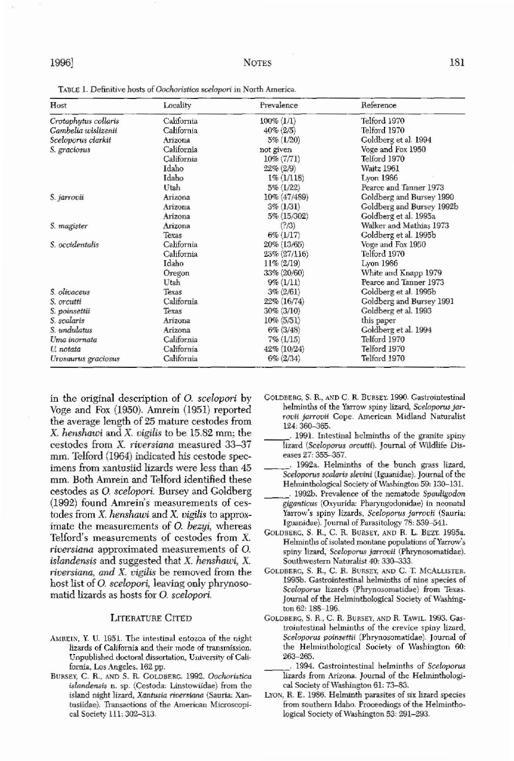# 1996]

TABLE 1. Definitive hosts of Oochoristica scelopori in North America.

| Host                 | Locality   | Prevalence      | Reference                 |
|----------------------|------------|-----------------|---------------------------|
| Crotaphytus collaris | California | $100\% (1/1)$   | Telford 1970              |
| Gambelia wislizenii  | California | $40\% (2/5)$    | Telford 1970              |
| Sceloporus clarkii   | Arizona    | $5\% (1/20)$    | Goldberg et al. 1994      |
| S. graciosus         | California | not given       | Voge and Fox 1950         |
|                      | California | $10\% (7/71)$   | Telford 1970              |
|                      | Idaho      | $22\% (2/9)$    | Waitz 1961                |
|                      | Idaho      | $1\% (1/118)$   | Lyon $1986$               |
|                      | Utah       | $5\%$ (1/22)    | Pearce and Tanner 1973    |
| S. jarrovii          | Arizona    | 10% (47/489)    | Goldberg and Bursey 1990  |
|                      | Arizona    | $3\% (1/31)$    | Goldberg and Bursey 1992b |
|                      | Arizona    | 5% (15/302)     | Goldberg et al. 1995a     |
| S. magister          | Arizona    | (?)/3)          | Walker and Mathias 1973   |
|                      | Texas      | $6\%$ $(1/17)$  | Goldberg et al. 1995b     |
| S. occidentalis      | California | 20% (13/65)     | Voge and Fox 1950         |
|                      | California | $23\% (27/116)$ | Telford 1970              |
|                      | Idaho      | $11\% (2/19)$   | Lyon 1986                 |
|                      | Oregon     | 33% (20/60)     | White and Knapp 1979      |
|                      | Utah       | $9\% (1/11)$    | Pearce and Tanner 1973    |
| S. olivaceus         | Texas      | $3\% (2/61)$    | Goldberg et al. 1995b     |
| S. orcutti           | California | $22\%$ (16/74)  | Goldberg and Bursey 1991  |
| S. poinsettii        | Texas      | $30\%$ (3/10)   | Goldberg et al. 1993      |
| S. scalaris          | Arizona    | $10\%$ (5/51)   | this paper                |
| S. undulatus         | Arizona    | $6\%$ (3/48)    | Goldberg et al. 1994      |
| Uma inornata         | California | $7\% (1/15)$    | Telford 1970              |
| U. notata            | California | $42\% (10/24)$  | Telford 1970              |
| Urosaurus graciosus  | California | $6\% (2/34)$    | Telford 1970              |

in the original description of O. scelopori by Voge and Fox (1950). Amrein (1951) reported the average length of 25 mature cestodes from X, henshawi and X, vigilis to be  $15.82$  mm; the cestodes from X. riversiana measured 33-37 mm. Telford (1964) indicated his cestode specimens from xantusiid lizards were less than 45 mm. Both Amrein and Telford identified these cestodes as O. scelopori. Bursey and Goldberg (1992) found Amrein's measurements of cestodes from  $X$ . henshawi and  $X$ . vigilis to approximate the measurements of O. bezyi, whereas Telford's measurements of cestodes from X. *riversiana* approximated measurements of O. islandensis and suggested that X. henshawi, X. riversiana, and X. vigilis be removed from the host list of O. *scelopori*, leaving only phrynosomatid lizards as hosts for O. scelopori.

# **LITERATURE CITED**

- AMREIN, Y. U. 1951. The intestinal entozoa of the night lizards of California and their mode of transmission. Unpublished doctoral dissertation, University of California, Los Angeles. 162 pp.
- BURSEY, C. R., AND S. R. GOLDBERG. 1992. Oochoristica

GOLDBERG, S. R., AND C. R. BURSEY. 1990. Gastrointestinal helminths of the Yarrow spiny lizard, Sceloporus jarrovii jarrovii Cope. American Midland Naturalist 124: 360-365.

- . 1991. Intestinal helminths of the granite spiny lizard (Sceloporus orcutti). Journal of Wildlife Diseases 27: 355-357.
- 1992a. Helminths of the bunch grass lizard, Sceloporus scalaris slevini (Iguanidae). Journal of the Helminthological Society of Washington 59: 130–131.
- . 1992b. Prevalence of the nematode Spauligodon giganticus (Oxyurida: Pharyngodonidae) in neonatal Yarrow's spiny lizards, Sceloporus jarrovii (Sauria: Iguanidae). Journal of Parasitology 78: 539-541.
- GOLDBERG, S. R., C. R. BURSEY, AND R. L. BEZY. 1995a. Helminths of isolated montane populations of Yarrow's spiny lizard, Sceloporus jarrovii (Phrynosomatidae). Southwestern Naturalist 40: 330-333.
- GOLDBERG, S. R., C. R. BURSEY, AND C. T. MCALLISTER. 1995b. Gastrointestinal helminths of nine species of Sceloporus lizards (Phrynosomatidae) from Texas. Journal of the Helminthological Society of Washington 62: 188-196.
- GOLDBERG, S. R., C. R. BURSEY, AND R. TAWIL. 1993. Gastrointestinal belminths of the crevice spiny lizard, Sceloporus poinsettii (Phrynosomatidae). Journal of the Helminthological Society of Washington 60:  $263 - 265.$ 
	- 1994. Gastrointestinal helminths of Sceloporus lizards from Arizona. Journal of the Helminthologi-

### islandensis n. sp. (Cestoda: Linstowiidae) from the island night lizard, Xantusia riversiana (Sauria: Xantusiidae). Transactions of the American Microscopical Society 111: 302-313.

cal Society of Washington 61: 73-83. LYON, R. E. 1986. Helminth parasites of six lizard species from southern Idaho. Proceedings of the Helminthological Society of Washington 53: 291-293.